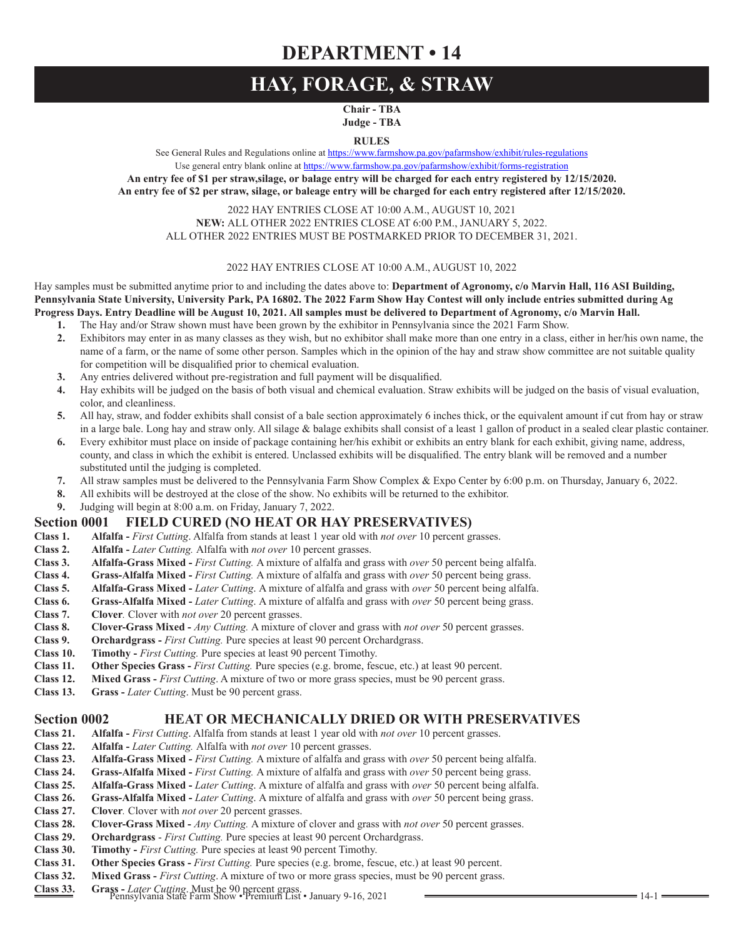## **DEPARTMENT • 14**

## **HAY, FORAGE, & STRAW**

**Chair - TBA Judge - TBA**

**RULES**

See General Rules and Regulations online at https://www.farmshow.pa.gov/pafarmshow/exhibit/rules-regulations

Use general entry blank online at https://www.farmshow.pa.gov/pafarmshow/exhibit/forms-registration **An entry fee of \$1 per straw,silage, or balage entry will be charged for each entry registered by 12/15/2020. An entry fee of \$2 per straw, silage, or baleage entry will be charged for each entry registered after 12/15/2020.** 

2022 HAY ENTRIES CLOSE AT 10:00 A.M., AUGUST 10, 2021 **NEW:** ALL OTHER 2022 ENTRIES CLOSE AT 6:00 P.M., JANUARY 5, 2022. ALL OTHER 2022 ENTRIES MUST BE POSTMARKED PRIOR TO DECEMBER 31, 2021.

### 2022 HAY ENTRIES CLOSE AT 10:00 A.M., AUGUST 10, 2022

Hay samples must be submitted anytime prior to and including the dates above to: **Department of Agronomy, c/o Marvin Hall, 116 ASI Building, Pennsylvania State University, University Park, PA 16802. The 2022 Farm Show Hay Contest will only include entries submitted during Ag Progress Days. Entry Deadline will be August 10, 2021. All samples must be delivered to Department of Agronomy, c/o Marvin Hall.**

- **1.** The Hay and/or Straw shown must have been grown by the exhibitor in Pennsylvania since the 2021 Farm Show.
- **2.** Exhibitors may enter in as many classes as they wish, but no exhibitor shall make more than one entry in a class, either in her/his own name, the name of a farm, or the name of some other person. Samples which in the opinion of the hay and straw show committee are not suitable quality for competition will be disqualified prior to chemical evaluation.
- **3.** Any entries delivered without pre-registration and full payment will be disqualified.
- **4.** Hay exhibits will be judged on the basis of both visual and chemical evaluation. Straw exhibits will be judged on the basis of visual evaluation, color, and cleanliness.
- **5.** All hay, straw, and fodder exhibits shall consist of a bale section approximately 6 inches thick, or the equivalent amount if cut from hay or straw in a large bale. Long hay and straw only. All silage & balage exhibits shall consist of a least 1 gallon of product in a sealed clear plastic container.
- **6.** Every exhibitor must place on inside of package containing her/his exhibit or exhibits an entry blank for each exhibit, giving name, address, county, and class in which the exhibit is entered. Unclassed exhibits will be disqualified. The entry blank will be removed and a number substituted until the judging is completed.
- **7.** All straw samples must be delivered to the Pennsylvania Farm Show Complex & Expo Center by 6:00 p.m. on Thursday, January 6, 2022.
- **8.** All exhibits will be destroyed at the close of the show. No exhibits will be returned to the exhibitor.
- **9.** Judging will begin at 8:00 a.m. on Friday, January 7, 2022.

# **Section 0001 FIELD CURED (NO HEAT OR HAY PRESERVATIVES)**<br>Class 1. Alfalfa - First Cutting. Alfalfa from stands at least 1 year old with *not over* 10 percent gr

- **Class 1. Alfalfa** *First Cutting*. Alfalfa from stands at least 1 year old with *not over* 10 percent grasses.
- **Class 2. Alfalfa -** *Later Cutting.* Alfalfa with *not over* 10 percent grasses.
- **Class 3. Alfalfa-Grass Mixed** *First Cutting.* A mixture of alfalfa and grass with *over* 50 percent being alfalfa.
- **Class 4. Grass-Alfalfa Mixed -** *First Cutting.* A mixture of alfalfa and grass with *over* 50 percent being grass. **Class 5. Alfalfa-Grass Mixed -** *Later Cutting.* A mixture of alfalfa and grass with *over* 50 perce
- **Class 5. Alfalfa-Grass Mixed** *Later Cutting*. A mixture of alfalfa and grass with *over* 50 percent being alfalfa.
- **Class 6. Grass-Alfalfa Mixed -** *Later Cutting*. A mixture of alfalfa and grass with *over* 50 percent being grass.<br>Class 7. Clover Clover with *not over* 20 percent grasses.
- **Class 7. Clover***.* Clover with *not over* 20 percent grasses.
- **Class 8. Clover-Grass Mixed -** *Any Cutting.* A mixture of clover and grass with *not over* 50 percent grasses.<br>**Class 9. Orchardgrass -** *First Cutting.* Pure species at least 90 percent Orchardgrass.
- **Class 9. Orchardgrass -** *First Cutting.* Pure species at least 90 percent Orchardgrass.
- **Class 10. Timothy** *First Cutting.* Pure species at least 90 percent Timothy.
- **Class 11. Other Species Grass -** *First Cutting*. Pure species (e.g. brome, fescue, etc.) at least 90 percent. **Class 12. Mixed Grass** *First Cutting*. A mixture of two or more grass species, must be 90 percent gras
- **Mixed Grass -** *First Cutting*. A mixture of two or more grass species, must be 90 percent grass.
- **Class 13. Grass -** *Later Cutting*. Must be 90 percent grass.

# **Section 0002 HEAT OR MECHANICALLY DRIED OR WITH PRESERVATIVES**<br>Class 21. Alfalfa - *First Cutting*. Alfalfa from stands at least 1 year old with *not over* 10 percent grasses.

- **Class 21. Alfalfa** *First Cutting*. Alfalfa from stands at least 1 year old with *not over* 10 percent grasses.
- **Class 22. Alfalfa -** *Later Cutting.* Alfalfa with *not over* 10 percent grasses.
- **Class 23. Alfalfa-Grass Mixed** *First Cutting.* A mixture of alfalfa and grass with *over* 50 percent being alfalfa.
- **Class 24. Grass-Alfalfa Mixed** *First Cutting.* A mixture of alfalfa and grass with *over* 50 percent being grass.
- **Class 25. Alfalfa-Grass Mixed** *Later Cutting*. A mixture of alfalfa and grass with *over* 50 percent being alfalfa.
- **Class 26. Grass-Alfalfa Mixed -** *Later Cutting*. A mixture of alfalfa and grass with *over* 50 percent being grass. **Class 27. Clover**. Clover with *not over* 20 percent grasses.
- **Class 27. Clover***.* Clover with *not over* 20 percent grasses.<br>**Class 28. Clover-Grass Mixed**  *Anv Cutting.* A mixture of
- **Class 28. Clover-Grass Mixed** *Any Cutting.* A mixture of clover and grass with *not over* 50 percent grasses.
- **Class 29. Orchardgrass** *First Cutting.* Pure species at least 90 percent Orchardgrass.
- **Class 30. Timothy** *First Cutting.* Pure species at least 90 percent Timothy.
- **Class 31. Other Species Grass** *First Cutting.* Pure species (e.g. brome, fescue, etc.) at least 90 percent.
- **Class 32. Mixed Grass -** *First Cutting*. A mixture of two or more grass species, must be 90 percent grass.
- Class 33. Grass *Later Cutting*. Must be 90 percent grass.<br> **Class 33.** Grass *Later Cutting*. Must be 90 percent grass.<br>
14-1